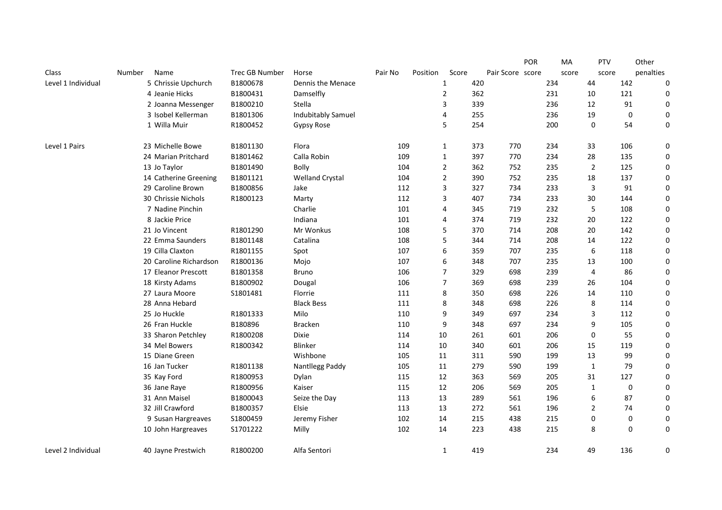|                    |                        |                       |                        |         |          |                |     |                  | POR | MA    | <b>PTV</b>       |     | Other     |
|--------------------|------------------------|-----------------------|------------------------|---------|----------|----------------|-----|------------------|-----|-------|------------------|-----|-----------|
| Class              | Name<br><b>Number</b>  | <b>Trec GB Number</b> | Horse                  | Pair No | Position | Score          |     | Pair Score score |     | score | score            |     | penalties |
| Level 1 Individual | 5 Chrissie Upchurch    | B1800678              | Dennis the Menace      |         |          | 1              | 420 |                  | 234 |       | 44               | 142 | 0         |
|                    | 4 Jeanie Hicks         | B1800431              | Damselfly              |         |          | $\overline{2}$ | 362 |                  | 231 |       | 10               | 121 | 0         |
|                    | 2 Joanna Messenger     | B1800210              | Stella                 |         |          | 3              | 339 |                  | 236 |       | 12               | 91  | 0         |
|                    | 3 Isobel Kellerman     | B1801306              | Indubitably Samuel     |         |          | 4              | 255 |                  | 236 |       | 19               | 0   | 0         |
|                    | 1 Willa Muir           | R1800452              | Gypsy Rose             |         |          | 5              | 254 |                  | 200 |       | $\Omega$         | 54  | 0         |
| Level 1 Pairs      | 23 Michelle Bowe       | B1801130              | Flora                  | 109     |          | $\mathbf{1}$   | 373 | 770              | 234 |       | 33               | 106 | 0         |
|                    | 24 Marian Pritchard    | B1801462              | Calla Robin            | 109     |          | 1              | 397 | 770              | 234 |       | 28               | 135 | 0         |
|                    | 13 Jo Taylor           | B1801490              | Bolly                  | 104     |          | $\overline{2}$ | 362 | 752              | 235 |       | $\overline{2}$   | 125 | 0         |
|                    | 14 Catherine Greening  | B1801121              | <b>Welland Crystal</b> | 104     |          | $\overline{2}$ | 390 | 752              | 235 |       | 18               | 137 | 0         |
|                    | 29 Caroline Brown      | B1800856              | Jake                   | 112     |          | 3              | 327 | 734              | 233 |       | 3                | 91  | 0         |
|                    | 30 Chrissie Nichols    | R1800123              | Marty                  | 112     |          | 3              | 407 | 734              | 233 |       | 30               | 144 | 0         |
|                    | 7 Nadine Pinchin       |                       | Charlie                | 101     |          | $\overline{4}$ | 345 | 719              | 232 |       | 5                | 108 | 0         |
|                    | 8 Jackie Price         |                       | Indiana                | 101     |          | 4              | 374 | 719              | 232 |       | 20               | 122 | 0         |
|                    | 21 Jo Vincent          | R1801290              | Mr Wonkus              | 108     |          | 5              | 370 | 714              | 208 |       | 20               | 142 | 0         |
|                    | 22 Emma Saunders       | B1801148              | Catalina               | 108     |          | 5              | 344 | 714              | 208 |       | 14               | 122 | 0         |
|                    | 19 Cilla Claxton       | R1801155              | Spot                   | 107     |          | 6              | 359 | 707              | 235 |       | 6                | 118 | 0         |
|                    | 20 Caroline Richardson | R1800136              | Mojo                   | 107     |          | 6              | 348 | 707              | 235 |       | 13               | 100 | 0         |
|                    | 17 Eleanor Prescott    | B1801358              | <b>Bruno</b>           | 106     |          | $\overline{7}$ | 329 | 698              | 239 |       | $\overline{4}$   | 86  | 0         |
|                    | 18 Kirsty Adams        | B1800902              | Dougal                 | 106     |          | $\overline{7}$ | 369 | 698              | 239 |       | 26               | 104 | 0         |
|                    | 27 Laura Moore         | S1801481              | Florrie                | 111     |          | 8              | 350 | 698              | 226 |       | 14               | 110 | 0         |
|                    | 28 Anna Hebard         |                       | <b>Black Bess</b>      | 111     |          | 8              | 348 | 698              | 226 |       | 8                | 114 | 0         |
|                    | 25 Jo Huckle           | R1801333              | Milo                   | 110     |          | 9              | 349 | 697              | 234 |       | 3                | 112 | 0         |
|                    | 26 Fran Huckle         | B180896               | Bracken                | 110     |          | 9              | 348 | 697              | 234 |       | 9                | 105 | 0         |
|                    | 33 Sharon Petchley     | R1800208              | Dixie                  | 114     |          | 10             | 261 | 601              | 206 |       | $\boldsymbol{0}$ | 55  | 0         |
|                    | 34 Mel Bowers          | R1800342              | Blinker                | 114     |          | 10             | 340 | 601              | 206 |       | 15               | 119 | 0         |
|                    | 15 Diane Green         |                       | Wishbone               | 105     |          | 11             | 311 | 590              | 199 |       | 13               | 99  | 0         |
|                    | 16 Jan Tucker          | R1801138              | Nantllegg Paddy        | 105     |          | 11             | 279 | 590              | 199 |       | $1\,$            | 79  | 0         |
|                    | 35 Kay Ford            | R1800953              | Dylan                  | 115     |          | 12             | 363 | 569              | 205 |       | 31               | 127 | 0         |
|                    | 36 Jane Raye           | R1800956              | Kaiser                 | 115     |          | 12             | 206 | 569              | 205 |       | $1\,$            | 0   | 0         |
|                    | 31 Ann Maisel          | B1800043              | Seize the Day          | 113     |          | 13             | 289 | 561              | 196 |       | 6                | 87  | 0         |
|                    | 32 Jill Crawford       | B1800357              | Elsie                  | 113     |          | 13             | 272 | 561              | 196 |       | $\overline{2}$   | 74  | 0         |
|                    | 9 Susan Hargreaves     | S1800459              | Jeremy Fisher          | 102     |          | 14             | 215 | 438              | 215 |       | 0                | 0   | 0         |
|                    | 10 John Hargreaves     | S1701222              | Milly                  | 102     |          | 14             | 223 | 438              | 215 |       | 8                | 0   | 0         |
| Level 2 Individual | 40 Jayne Prestwich     | R1800200              | Alfa Sentori           |         |          | $\mathbf{1}$   | 419 |                  | 234 |       | 49               | 136 | 0         |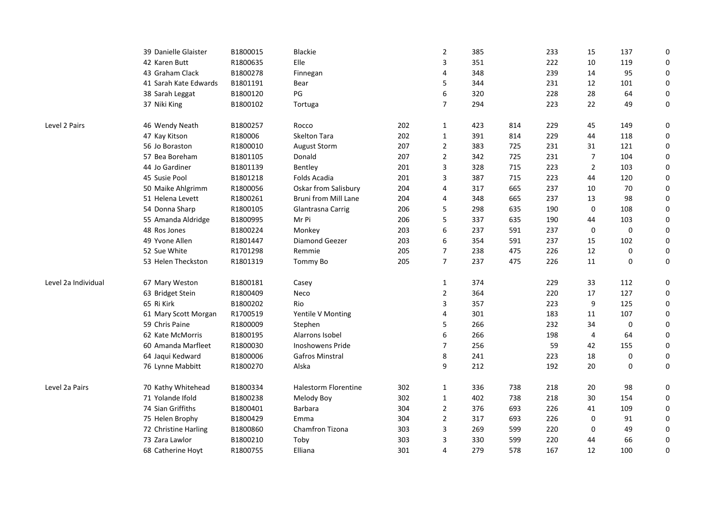|                     | 39 Danielle Glaister  | B1800015 | <b>Blackie</b>              |     | $\overline{2}$ | 385 |     | 233 | 15             | 137                                                                                                                                                                                                             | $\mathbf 0$ |
|---------------------|-----------------------|----------|-----------------------------|-----|----------------|-----|-----|-----|----------------|-----------------------------------------------------------------------------------------------------------------------------------------------------------------------------------------------------------------|-------------|
|                     | 42 Karen Butt         | R1800635 | Elle                        |     | 3              | 351 |     | 222 | 10             | 119                                                                                                                                                                                                             | $\mathbf 0$ |
|                     | 43 Graham Clack       | B1800278 | Finnegan                    |     | 4              | 348 |     | 239 | 14             | 95                                                                                                                                                                                                              | 0           |
|                     | 41 Sarah Kate Edwards | B1801191 | Bear                        |     | 5              | 344 |     | 231 | 12             | 101                                                                                                                                                                                                             | 0           |
|                     | 38 Sarah Leggat       | B1800120 | PG                          |     | 6              | 320 |     | 228 | 28             | 64                                                                                                                                                                                                              | 0           |
|                     | 37 Niki King          | B1800102 | Tortuga                     |     | $\overline{7}$ | 294 |     | 223 | 22             | 49                                                                                                                                                                                                              | 0           |
| Level 2 Pairs       | 46 Wendy Neath        | B1800257 | Rocco                       | 202 | $\mathbf{1}$   | 423 | 814 | 229 | 45             | 149                                                                                                                                                                                                             | 0           |
|                     | 47 Kay Kitson         | R180006  | Skelton Tara                | 202 | $\mathbf{1}$   | 391 | 814 | 229 | 44             | 118<br>121<br>104<br>103<br>120<br>70<br>98<br>108<br>103<br>$\mathbf 0$<br>102<br>0<br>$\mathbf 0$<br>112<br>127<br>125<br>107<br>0<br>64<br>155<br>0<br>$\Omega$<br>98<br>154<br>109<br>91<br>49<br>66<br>100 | 0           |
|                     | 56 Jo Boraston        | R1800010 | <b>August Storm</b>         | 207 | $\overline{2}$ | 383 | 725 | 231 | 31             |                                                                                                                                                                                                                 | 0           |
|                     | 57 Bea Boreham        | B1801105 | Donald                      | 207 | $\overline{2}$ | 342 | 725 | 231 | $\overline{7}$ |                                                                                                                                                                                                                 | 0           |
|                     | 44 Jo Gardiner        | B1801139 | Bentley                     | 201 | 3              | 328 | 715 | 223 | $\overline{2}$ |                                                                                                                                                                                                                 | $\mathbf 0$ |
|                     | 45 Susie Pool         | B1801218 | Folds Acadia                | 201 | 3              | 387 | 715 | 223 | 44             |                                                                                                                                                                                                                 | 0           |
|                     | 50 Maike Ahlgrimm     | R1800056 | Oskar from Salisbury        | 204 | $\overline{4}$ | 317 | 665 | 237 | 10             |                                                                                                                                                                                                                 | 0           |
|                     | 51 Helena Levett      | R1800261 | <b>Bruni from Mill Lane</b> | 204 | 4              | 348 | 665 | 237 | 13             |                                                                                                                                                                                                                 | 0           |
|                     | 54 Donna Sharp        | R1800105 | Glantrasna Carrig           | 206 | 5              | 298 | 635 | 190 | $\mathbf 0$    |                                                                                                                                                                                                                 | 0           |
|                     | 55 Amanda Aldridge    | B1800995 | Mr Pi                       | 206 | 5              | 337 | 635 | 190 | 44             |                                                                                                                                                                                                                 | 0           |
|                     | 48 Ros Jones          | B1800224 | Monkey                      | 203 | 6              | 237 | 591 | 237 | $\mathbf 0$    |                                                                                                                                                                                                                 | $\pmb{0}$   |
|                     | 49 Yvone Allen        | R1801447 | Diamond Geezer              | 203 | 6              | 354 | 591 | 237 | 15             |                                                                                                                                                                                                                 | $\pmb{0}$   |
|                     | 52 Sue White          | R1701298 | Remmie                      | 205 | $\overline{7}$ | 238 | 475 | 226 | 12             |                                                                                                                                                                                                                 | 0           |
|                     | 53 Helen Theckston    | R1801319 | Tommy Bo                    | 205 | $\overline{7}$ | 237 | 475 | 226 | 11             |                                                                                                                                                                                                                 | 0           |
| Level 2a Individual | 67 Mary Weston        | B1800181 | Casey                       |     | 1              | 374 |     | 229 | 33             |                                                                                                                                                                                                                 | 0           |
|                     | 63 Bridget Stein      | R1800409 | Neco                        |     | 2              | 364 |     | 220 | 17             |                                                                                                                                                                                                                 | 0           |
|                     | 65 Ri Kirk            | B1800202 | Rio                         |     | 3              | 357 |     | 223 | 9              |                                                                                                                                                                                                                 | 0           |
|                     | 61 Mary Scott Morgan  | R1700519 | Yentile V Monting           |     | 4              | 301 |     | 183 | 11             |                                                                                                                                                                                                                 | 0           |
|                     | 59 Chris Paine        | R1800009 | Stephen                     |     | 5              | 266 |     | 232 | 34             |                                                                                                                                                                                                                 | 0           |
|                     | 62 Kate McMorris      | B1800195 | Alarrons Isobel             |     | 6              | 266 |     | 198 | 4              |                                                                                                                                                                                                                 | 0           |
|                     | 60 Amanda Marfleet    | R1800030 | Inoshowens Pride            |     | $\overline{7}$ | 256 |     | 59  | 42             |                                                                                                                                                                                                                 | 0           |
|                     | 64 Jaqui Kedward      | B1800006 | Gafros Minstral             |     | 8              | 241 |     | 223 | 18             |                                                                                                                                                                                                                 | 0           |
|                     | 76 Lynne Mabbitt      | R1800270 | Alska                       |     | 9              | 212 |     | 192 | 20             |                                                                                                                                                                                                                 | 0           |
| Level 2a Pairs      | 70 Kathy Whitehead    | B1800334 | <b>Halestorm Florentine</b> | 302 | $\mathbf{1}$   | 336 | 738 | 218 | 20             |                                                                                                                                                                                                                 | 0           |
|                     | 71 Yolande Ifold      | B1800238 | Melody Boy                  | 302 | $\mathbf{1}$   | 402 | 738 | 218 | 30             |                                                                                                                                                                                                                 | 0           |
|                     | 74 Sian Griffiths     | B1800401 | Barbara                     | 304 | $\overline{2}$ | 376 | 693 | 226 | 41             |                                                                                                                                                                                                                 | 0           |
|                     | 75 Helen Brophy       | B1800429 | Emma                        | 304 | 2              | 317 | 693 | 226 | 0              |                                                                                                                                                                                                                 | 0           |
|                     | 72 Christine Harling  | B1800860 | Chamfron Tizona             | 303 | 3              | 269 | 599 | 220 | $\mathbf 0$    |                                                                                                                                                                                                                 | 0           |
|                     | 73 Zara Lawlor        | B1800210 | Toby                        | 303 | 3              | 330 | 599 | 220 | 44             |                                                                                                                                                                                                                 | 0           |
|                     | 68 Catherine Hoyt     | R1800755 | Elliana                     | 301 | 4              | 279 | 578 | 167 | 12             |                                                                                                                                                                                                                 | $\mathbf 0$ |